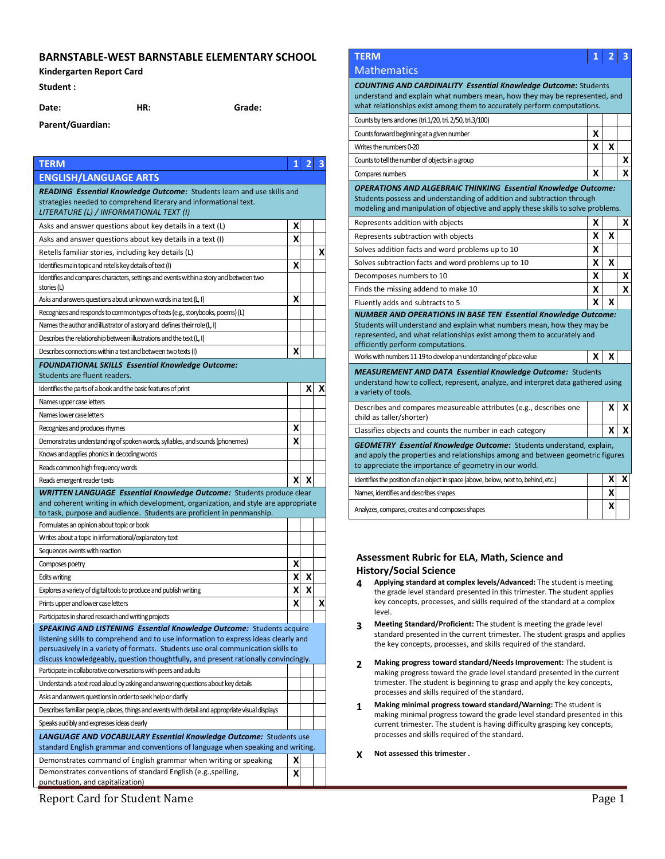## **BARNSTABLE-WEST BARNSTABLE ELEMENTARY SCHOOL**

## **Kindergarten Report Card**

## **Student :**

**Parent/Guardian:**

**Date: HR: Grade:**

**TERM 1 2 3 ENGLISH/LANGUAGE ARTS**  *READING Essential Knowledge Outcome:* Students learn and use skills and strategies needed to comprehend literary and informational text. *LITERATURE (L) / INFORMATIONAL TEXT (I)* Asks and answer questions about key details in a text (L) **X** Asks and answer questions about key details in a text (I) **X** Retells familiar stories, including key details  $(L)$  **X X** Identifies main topic and retells key details of text (I) **X X** Identifies and compares characters, settings and events within a story and between two stories (L) Asks and answers questions about unknown words in a text (L, I) **X** Recognizes and responds to common types of texts (e.g., storybooks, poems) (L) Names the author and illustrator of a story and defines their role (L, I) Describes the relationship between illustrations and the text (L, I) Describes connections within a text and between two texts (I) **X** *FOUNDATIONAL SKILLS Essential Knowledge Outcome:*  Students are fluent readers. Identifies the parts of a book and the basic features of print  $\mathbf{X} \mathbf{X}$  **X X X** Names upper case letters Names lower case letters Recognizes and produces rhymes **X** Demonstrates understanding of spoken words, syllables, and sounds (phonemes) **X** Knows and applies phonics in decoding words Reads common high frequency words Reads emergent reader texts **X X** *WRITTEN LANGUAGE Essential Knowledge Outcome:* Students produce clear and coherent writing in which development, organization, and style are appropriate to task, purpose and audience. Students are proficient in penmanship. Formulates an opinion about topic or book Writes about a topic in informational/explanatory text Sequences events with reaction Composes poetry **X** Edits writing **X X** Explores a variety of digital tools to produce and publish writing **X X** Prints upper and lower case letters **X X X X** Participates in shared research and writing projects **SPEAKING AND LISTENING Essential Knowledge Outcome: Students acquire** listening skills to comprehend and to use information to express ideas clearly and persuasively in a variety of formats. Students use oral communication skills to discuss knowledgeably, question thoughtfully, and present rationally convincingly. Participate in collaborative conversations with peers and adults Understands a text read aloud by asking and answering questions about key details Asks and answers questions in order to seek help or clarify Describes familiar people, places, things and events with detail and appropriate visual displays Speaks audibly and expresses ideas clearly *LANGUAGE AND VOCABULARY Essential Knowledge Outcome:* Students use standard English grammar and conventions of language when speaking and writing. Demonstrates command of English grammar when writing or speaking **X** Demonstrates conventions of standard English (e.g.,spelling, punctuation, and capitalization) **X**

# **TERM 1 2 3**

## **Mathematics**

*COUNTING AND CARDINALITY Essential Knowledge Outcome:* Students understand and explain what numbers mean, how they may be represented, and what relationships exist among them to accurately perform computations.

| Counts by tens and ones (tri.1/20, tri. 2/50, tri.3/100)                                                                                                                                                                            |   |   |   |
|-------------------------------------------------------------------------------------------------------------------------------------------------------------------------------------------------------------------------------------|---|---|---|
| Counts forward beginning at a given number                                                                                                                                                                                          | x |   |   |
| Writes the numbers 0-20                                                                                                                                                                                                             | x | x |   |
| Counts to tell the number of objects in a group                                                                                                                                                                                     |   |   | x |
| Compares numbers                                                                                                                                                                                                                    | x |   | X |
| <b>OPERATIONS AND ALGEBRAIC THINKING Essential Knowledge Outcome:</b><br>Students possess and understanding of addition and subtraction through<br>modeling and manipulation of objective and apply these skills to solve problems. |   |   |   |
| Represents addition with objects                                                                                                                                                                                                    | x |   | X |
| Represents subtraction with objects                                                                                                                                                                                                 | x | x |   |
| Solves addition facts and word problems up to 10                                                                                                                                                                                    | X |   |   |
| Solves subtraction facts and word problems up to 10                                                                                                                                                                                 | x | x |   |
| Decomposes numbers to 10                                                                                                                                                                                                            | x |   | X |
| Finds the missing addend to make 10                                                                                                                                                                                                 | x |   | X |
| Fluently adds and subtracts to 5                                                                                                                                                                                                    | x | X |   |
| <b>NUMBER AND OPERATIONS IN BASE TEN Essential Knowledge Outcome:</b><br>Students will understand and explain what numbers mean, how they may be<br>represented, and what relationships exist among them to accurately and          |   |   |   |
| efficiently perform computations.                                                                                                                                                                                                   |   |   |   |
| Works with numbers 11-19 to develop an understanding of place value                                                                                                                                                                 | x | X |   |
| <b>MEASUREMENT AND DATA Essential Knowledge Outcome: Students</b><br>understand how to collect, represent, analyze, and interpret data gathered using<br>a variety of tools.                                                        |   |   |   |
| Describes and compares measureable attributes (e.g., describes one<br>child as taller/shorter)                                                                                                                                      |   | x | X |
| Classifies objects and counts the number in each category                                                                                                                                                                           |   | X | x |
| <b>GEOMETRY Essential Knowledge Outcome:</b> Students understand, explain,<br>and apply the properties and relationships among and between geometric figures<br>to appreciate the importance of geometry in our world.              |   |   |   |
| Identifies the position of an object in space (above, below, next to, behind, etc.)                                                                                                                                                 |   | x | x |
| Names, identifies and describes shapes                                                                                                                                                                                              |   | X |   |

## **Assessment Rubric for ELA, Math, Science and History/Social Science**

- **4 Applying standard at complex levels/Advanced:** The student is meeting the grade level standard presented in this trimester. The student applies key concepts, processes, and skills required of the standard at a complex level.
- **3 Meeting Standard/Proficient:** The student is meeting the grade level standard presented in the current trimester. The student grasps and applies the key concepts, processes, and skills required of the standard.
- **2 Making progress toward standard/Needs Improvement:** The student is making progress toward the grade level standard presented in the current trimester. The student is beginning to grasp and apply the key concepts, processes and skills required of the standard.
- **1 Making minimal progress toward standard/Warning:** The student is making minimal progress toward the grade level standard presented in this current trimester. The student is having difficulty grasping key concepts, processes and skills required of the standard.

## **X Not assessed this trimester .**

Report Card for Student Name Page 1 and 2008 and 2008 and 2008 and 2008 and 2008 and 2008 and 2008 and 2008 and 2008 and 2008 and 2008 and 2008 and 2008 and 2008 and 2008 and 2008 and 2008 and 2008 and 2008 and 2008 and 20